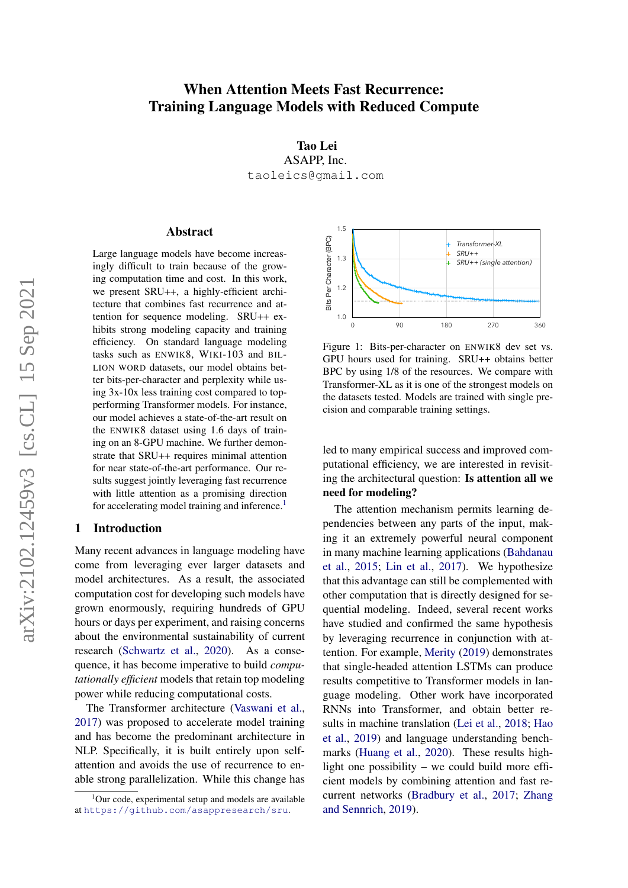# <span id="page-0-1"></span>When Attention Meets Fast Recurrence: Training Language Models with Reduced Compute

Tao Lei ASAPP, Inc. taoleics@gmail.com

# **Abstract**

Large language models have become increasingly difficult to train because of the growing computation time and cost. In this work, we present SRU++, a highly-efficient architecture that combines fast recurrence and attention for sequence modeling. SRU++ exhibits strong modeling capacity and training efficiency. On standard language modeling tasks such as  $ENWIK8$ ,  $WIKI-103$  and  $BIL-$ LION WORD datasets, our model obtains better bits-per-character and perplexity while using 3x-10x less training cost compared to topperforming Transformer models. For instance, our model achieves a state-of-the-art result on the ENWIK8 dataset using 1.6 days of training on an 8-GPU machine. We further demonstrate that SRU++ requires minimal attention for near state-of-the-art performance. Our results suggest jointly leveraging fast recurrence with little attention as a promising direction for accelerating model training and inference.<sup>1</sup> 194 1.114

### 1 Introduction

Many recent advances in language modeling have come from leveraging ever larger datasets and model architectures. As a result, the associated computation cost for developing such models have grown enormously, requiring hundreds of GPU hours or days per experiment, and raising concerns about the environmental sustainability of current research [\(Schwartz et al.,](#page-10-0) [2020\)](#page-10-0). As a consequence, it has become imperative to build *compu*tationally efficient models that retain top modeling power while reducing computational costs. 248 1.102 1.102 1.102 1.102 1.102

The Transformer architecture [\(Vaswani et al.,](#page-11-0) [2017\)](#page-11-0) was proposed to accelerate model training and has become the predominant architecture in NLP. Specifically, it is built entirely upon selfattention and avoids the use of recurrence to enable strong parallelization. While this change has

<span id="page-0-0"></span>

Figure 1: Bits-per-character on ENWIK8 dev set vs.  $\frac{1}{2}$ cision and comparable training settings. Transformer-XL as it is one of the strongest models on the datasets tested. Models are trained with single pre-GPU hours used for training. SRU++ obtains better BPC by using 1/8 of the resources. We compare with

putational efficiency, we are interested in revisit- $\mathbf{P}$ ing the architectural question: Is attention all we led to many empirical success and improved comneed for modeling?

in<br>in<br>etho ler that this advantage can still be complemented with in many machine learning applications [\(Bahdanau](#page-9-0) pendencies between any parts of the input, makhave studied and confirmed the same hypothesis  $\sim$  90  $\sim$  90  $\sim$  90  $\sim$  90  $\sim$  90  $\sim$  90  $\sim$  90  $\sim$  90  $\sim$  90  $\sim$  90  $\sim$  90  $\sim$  90  $\sim$  90  $\sim$  90  $\sim$  90  $\sim$  90  $\sim$  90  $\sim$  90  $\sim$  90  $\sim$  90  $\sim$  90  $\sim$  90  $\sim$  90  $\sim$  90  $\sim$  90  $\sim$  90  $\sim$  90  $\sim$  other computation that is directly designed for seing it an extremely powerful neural component quential modeling. Indeed, several recent works [and Sennrich,](#page-11-1) [2019\)](#page-11-1). The attention mechanism permits learning de[et al.,](#page-9-0) [2015;](#page-9-0) [Lin et al.,](#page-10-1) [2017\)](#page-10-1). We hypothesize by leveraging recurrence in conjunction with attention. For example, [Merity](#page-10-2) [\(2019\)](#page-10-2) demonstrates that single-headed attention LSTMs can produce results competitive to Transformer models in language modeling. Other work have incorporated RNNs into Transformer, and obtain better results in machine translation [\(Lei et al.,](#page-10-3) [2018;](#page-10-3) [Hao](#page-9-1) [et al.,](#page-9-1) [2019\)](#page-9-1) and language understanding benchmarks [\(Huang et al.,](#page-9-2) [2020\)](#page-9-2). These results highlight one possibility – we could build more efficient models by combining attention and fast recurrent networks [\(Bradbury et al.,](#page-9-3) [2017;](#page-9-3) [Zhang](#page-11-1)

 $1$ Our code, experimental setup and models are available at <https://github.com/asappresearch/sru>.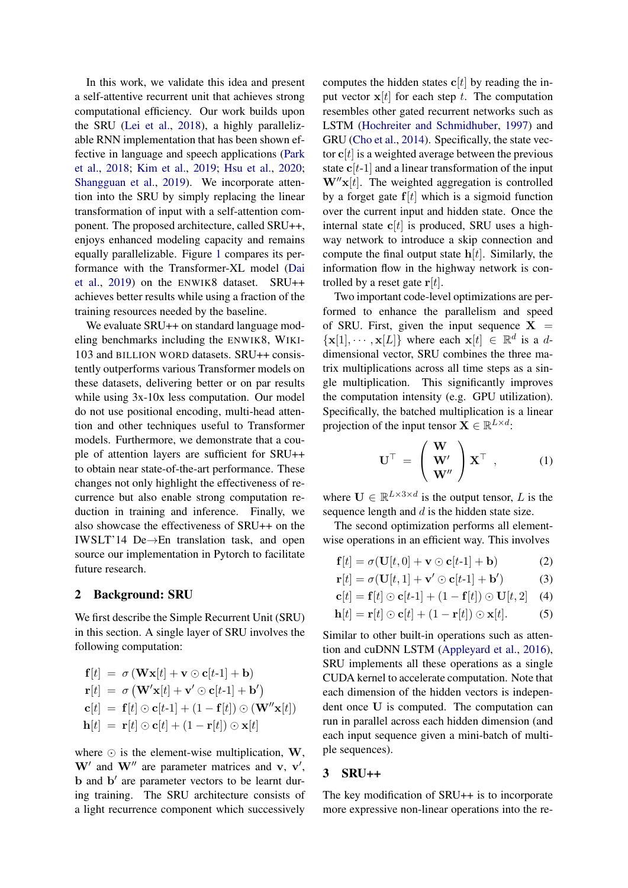In this work, we validate this idea and present a self-attentive recurrent unit that achieves strong computational efficiency. Our work builds upon the SRU [\(Lei et al.,](#page-10-3) [2018\)](#page-10-3), a highly parallelizable RNN implementation that has been shown effective in language and speech applications [\(Park](#page-10-4) [et al.,](#page-10-4) [2018;](#page-10-4) [Kim et al.,](#page-10-5) [2019;](#page-10-5) [Hsu et al.,](#page-9-4) [2020;](#page-9-4) [Shangguan et al.,](#page-10-6) [2019\)](#page-10-6). We incorporate attention into the SRU by simply replacing the linear transformation of input with a self-attention component. The proposed architecture, called SRU++, enjoys enhanced modeling capacity and remains equally parallelizable. Figure [1](#page-0-0) compares its performance with the Transformer-XL model [\(Dai](#page-9-5) [et al.,](#page-9-5) [2019\)](#page-9-5) on the ENWIK8 dataset. SRU++ achieves better results while using a fraction of the training resources needed by the baseline.

We evaluate SRU++ on standard language modeling benchmarks including the ENWIK8, WIKI-103 and BILLION WORD datasets. SRU++ consistently outperforms various Transformer models on these datasets, delivering better or on par results while using 3x-10x less computation. Our model do not use positional encoding, multi-head attention and other techniques useful to Transformer models. Furthermore, we demonstrate that a couple of attention layers are sufficient for SRU++ to obtain near state-of-the-art performance. These changes not only highlight the effectiveness of recurrence but also enable strong computation reduction in training and inference. Finally, we also showcase the effectiveness of SRU++ on the IWSLT'14 De→En translation task, and open source our implementation in Pytorch to facilitate future research.

### 2 Background: SRU

We first describe the Simple Recurrent Unit (SRU) in this section. A single layer of SRU involves the following computation:

$$
\mathbf{f}[t] = \sigma (\mathbf{W} \mathbf{x}[t] + \mathbf{v} \odot \mathbf{c}[t\text{-}1] + \mathbf{b})
$$
\n
$$
\mathbf{r}[t] = \sigma (\mathbf{W}' \mathbf{x}[t] + \mathbf{v}' \odot \mathbf{c}[t\text{-}1] + \mathbf{b}')
$$
\n
$$
\mathbf{c}[t] = \mathbf{f}[t] \odot \mathbf{c}[t\text{-}1] + (1 - \mathbf{f}[t]) \odot (\mathbf{W}'' \mathbf{x}[t])
$$
\n
$$
\mathbf{h}[t] = \mathbf{r}[t] \odot \mathbf{c}[t] + (1 - \mathbf{r}[t]) \odot \mathbf{x}[t]
$$

where  $\odot$  is the element-wise multiplication, W,  $W'$  and  $W''$  are parameter matrices and v, v', b and b' are parameter vectors to be learnt during training. The SRU architecture consists of a light recurrence component which successively computes the hidden states  $c[t]$  by reading the input vector  $x[t]$  for each step t. The computation resembles other gated recurrent networks such as LSTM [\(Hochreiter and Schmidhuber,](#page-9-6) [1997\)](#page-9-6) and GRU [\(Cho et al.,](#page-9-7) [2014\)](#page-9-7). Specifically, the state vector  $c[t]$  is a weighted average between the previous state  $c[t-1]$  and a linear transformation of the input  $W''x[t]$ . The weighted aggregation is controlled by a forget gate  $f[t]$  which is a sigmoid function over the current input and hidden state. Once the internal state  $c[t]$  is produced, SRU uses a highway network to introduce a skip connection and compute the final output state  $h[t]$ . Similarly, the information flow in the highway network is controlled by a reset gate  $r[t]$ .

Two important code-level optimizations are performed to enhance the parallelism and speed of SRU. First, given the input sequence  $X =$  $\{x[1], \dots, x[L]\}\$  where each  $x[t] \in \mathbb{R}^d$  is a ddimensional vector, SRU combines the three matrix multiplications across all time steps as a single multiplication. This significantly improves the computation intensity (e.g. GPU utilization). Specifically, the batched multiplication is a linear projection of the input tensor  $\mathbf{X} \in \mathbb{R}^{L \times d}$ :

$$
\mathbf{U}^{\top} = \begin{pmatrix} \mathbf{W} \\ \mathbf{W}' \\ \mathbf{W}'' \end{pmatrix} \mathbf{X}^{\top} , \qquad (1)
$$

where  $\mathbf{U} \in \mathbb{R}^{L \times 3 \times d}$  is the output tensor, L is the sequence length and  $d$  is the hidden state size.

The second optimization performs all elementwise operations in an efficient way. This involves

$$
\mathbf{f}[t] = \sigma(\mathbf{U}[t,0] + \mathbf{v} \odot \mathbf{c}[t-1] + \mathbf{b}) \tag{2}
$$

$$
\mathbf{r}[t] = \sigma(\mathbf{U}[t,1] + \mathbf{v}' \odot \mathbf{c}[t-1] + \mathbf{b}')
$$
 (3)

$$
\mathbf{c}[t] = \mathbf{f}[t] \odot \mathbf{c}[t-1] + (1 - \mathbf{f}[t]) \odot \mathbf{U}[t,2] \quad (4)
$$

$$
\mathbf{h}[t] = \mathbf{r}[t] \odot \mathbf{c}[t] + (1 - \mathbf{r}[t]) \odot \mathbf{x}[t]. \tag{5}
$$

Similar to other built-in operations such as attention and cuDNN LSTM [\(Appleyard et al.,](#page-9-8) [2016\)](#page-9-8), SRU implements all these operations as a single CUDA kernel to accelerate computation. Note that each dimension of the hidden vectors is independent once U is computed. The computation can run in parallel across each hidden dimension (and each input sequence given a mini-batch of multiple sequences).

#### 3 SRU++

The key modification of SRU++ is to incorporate more expressive non-linear operations into the re-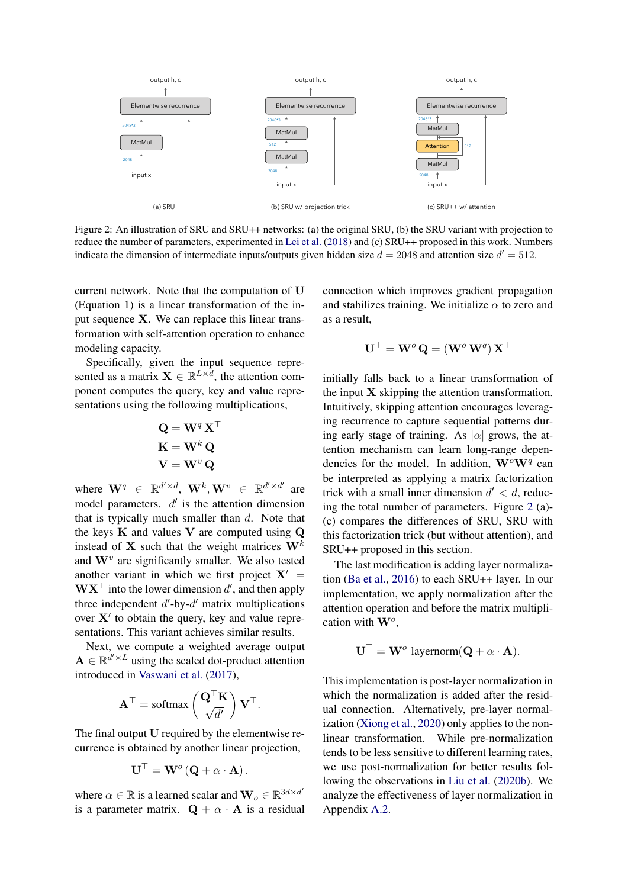<span id="page-2-0"></span>

Figure 2: An illustration of SRU and SRU++ networks: (a) the original SRU, (b) the SRU variant with projection to reduce the number of parameters, experimented in [Lei et al.](#page-10-3) [\(2018\)](#page-10-3) and (c) SRU++ proposed in this work. Numbers indicate the dimension of intermediate inputs/outputs given hidden size  $d = 2048$  and attention size  $d' = 512$ .

current network. Note that the computation of U (Equation 1) is a linear transformation of the input sequence X. We can replace this linear transformation with self-attention operation to enhance modeling capacity.

Specifically, given the input sequence represented as a matrix  $\mathbf{X} \in \mathbb{R}^{L \times d}$ , the attention component computes the query, key and value representations using the following multiplications,

$$
\mathbf{Q} = \mathbf{W}^q \mathbf{X}^\top
$$

$$
\mathbf{K} = \mathbf{W}^k \mathbf{Q}
$$

$$
\mathbf{V} = \mathbf{W}^v \mathbf{Q}
$$

where  $\mathbf{W}^q \in \mathbb{R}^{d' \times d}$ ,  $\mathbf{W}^k$ ,  $\mathbf{W}^v \in \mathbb{R}^{d' \times d'}$  are model parameters.  $d'$  is the attention dimension that is typically much smaller than  $d$ . Note that the keys  $K$  and values  $V$  are computed using  $Q$ instead of X such that the weight matrices  $W^k$ and  $\mathbf{W}^v$  are significantly smaller. We also tested another variant in which we first project  $X' =$  $\mathbf{W} \mathbf{X}^{\top}$  into the lower dimension d', and then apply three independent  $d'$ -by- $d'$  matrix multiplications over  $X'$  to obtain the query, key and value representations. This variant achieves similar results.

Next, we compute a weighted average output  $\mathbf{A} \in \mathbb{R}^{d' \times L}$  using the scaled dot-product attention introduced in [Vaswani et al.](#page-11-0) [\(2017\)](#page-11-0),

$$
\mathbf{A}^{\top} = \text{softmax}\left(\frac{\mathbf{Q}^{\top}\mathbf{K}}{\sqrt{d'}}\right)\mathbf{V}^{\top}.
$$

The final output U required by the elementwise recurrence is obtained by another linear projection,

$$
\mathbf{U}^{\top} = \mathbf{W}^o(\mathbf{Q} + \alpha \cdot \mathbf{A}).
$$

where  $\alpha \in \mathbb{R}$  is a learned scalar and  $\mathbf{W}_o \in \mathbb{R}^{3d \times d'}$ is a parameter matrix.  $\mathbf{Q} + \alpha \cdot \mathbf{A}$  is a residual connection which improves gradient propagation and stabilizes training. We initialize  $\alpha$  to zero and as a result,

$$
\mathbf{U}^\top = \mathbf{W}^o \, \mathbf{Q} = (\mathbf{W}^o \, \mathbf{W}^q) \, \mathbf{X}^\top
$$

initially falls back to a linear transformation of the input  $X$  skipping the attention transformation. Intuitively, skipping attention encourages leveraging recurrence to capture sequential patterns during early stage of training. As  $|\alpha|$  grows, the attention mechanism can learn long-range dependencies for the model. In addition,  $\mathbf{W}^o \mathbf{W}^q$  can be interpreted as applying a matrix factorization trick with a small inner dimension  $d' < d$ , reducing the total number of parameters. Figure [2](#page-2-0) (a)- (c) compares the differences of SRU, SRU with this factorization trick (but without attention), and SRU++ proposed in this section.

The last modification is adding layer normalization [\(Ba et al.,](#page-9-9) [2016\)](#page-9-9) to each SRU++ layer. In our implementation, we apply normalization after the attention operation and before the matrix multiplication with  $\mathbf{W}^o$ ,

$$
\mathbf{U}^{\top} = \mathbf{W}^o
$$
 layernorm $(\mathbf{Q} + \alpha \cdot \mathbf{A}).$ 

This implementation is post-layer normalization in which the normalization is added after the residual connection. Alternatively, pre-layer normalization [\(Xiong et al.,](#page-11-2) [2020\)](#page-11-2) only applies to the nonlinear transformation. While pre-normalization tends to be less sensitive to different learning rates, we use post-normalization for better results following the observations in [Liu et al.](#page-10-7) [\(2020b\)](#page-10-7). We analyze the effectiveness of layer normalization in Appendix [A.2.](#page-12-0)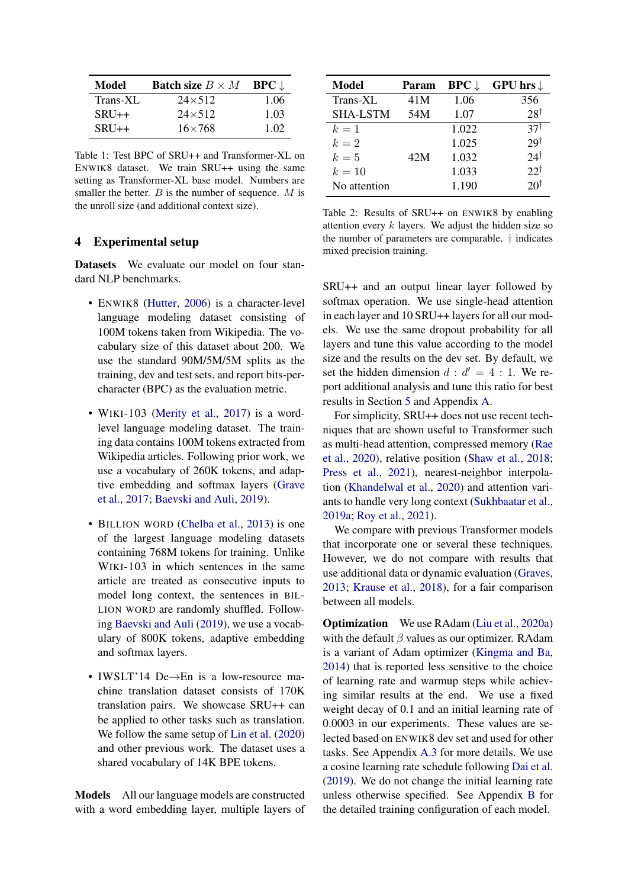<span id="page-3-0"></span>

| Model    | <b>Batch size</b> $B \times M$ | $BPC \downarrow$ |
|----------|--------------------------------|------------------|
| Trans-XL | $24 \times 512$                | 1.06             |
| $SRU++$  | $24\times512$                  | 1.03             |
| $SRU++$  | $16\times 768$                 | 1.02             |

Table 1: Test BPC of SRU++ and Transformer-XL on ENWIK8 dataset. We train SRU++ using the same setting as Transformer-XL base model. Numbers are smaller the better.  $B$  is the number of sequence.  $M$  is the unroll size (and additional context size).

#### 4 Experimental setup

Datasets We evaluate our model on four standard NLP benchmarks.

- ENWIK8 [\(Hutter,](#page-9-10) [2006\)](#page-9-10) is a character-level language modeling dataset consisting of 100M tokens taken from Wikipedia. The vocabulary size of this dataset about 200. We use the standard 90M/5M/5M splits as the training, dev and test sets, and report bits-percharacter (BPC) as the evaluation metric.
- WIKI-103 [\(Merity et al.,](#page-10-8) [2017\)](#page-10-8) is a wordlevel language modeling dataset. The training data contains 100M tokens extracted from Wikipedia articles. Following prior work, we use a vocabulary of 260K tokens, and adaptive embedding and softmax layers [\(Grave](#page-9-11) [et al.,](#page-9-11) [2017;](#page-9-11) [Baevski and Auli,](#page-9-12) [2019\)](#page-9-12).
- BILLION WORD [\(Chelba et al.,](#page-9-13) [2013\)](#page-9-13) is one of the largest language modeling datasets containing 768M tokens for training. Unlike WIKI-103 in which sentences in the same article are treated as consecutive inputs to model long context, the sentences in BIL-LION WORD are randomly shuffled. Following [Baevski and Auli](#page-9-12) [\(2019\)](#page-9-12), we use a vocabulary of 800K tokens, adaptive embedding and softmax layers.
- IWSLT'14 De→En is a low-resource machine translation dataset consists of 170K translation pairs. We showcase SRU++ can be applied to other tasks such as translation. We follow the same setup of [Lin et al.](#page-10-9) [\(2020\)](#page-10-9) and other previous work. The dataset uses a shared vocabulary of 14K BPE tokens.

Models All our language models are constructed with a word embedding layer, multiple layers of

<span id="page-3-1"></span>

| Model           | Param | $BPC \downarrow$ | GPU hrs $\downarrow$ |
|-----------------|-------|------------------|----------------------|
| Trans-XL        | 41M   | 1.06             | 356                  |
| <b>SHA-LSTM</b> | 54M   | 1.07             | $28^{\dagger}$       |
| $k=1$           |       | 1.022            | 37 <sup>†</sup>      |
| $k=2$           |       | 1.025            | $29\dagger$          |
| $k=5$           | 42M   | 1.032            | $24^{\dagger}$       |
| $k=10$          |       | 1.033            | $22^{\dagger}$       |
| No attention    |       | 1.190            | 20 <sup>†</sup>      |

Table 2: Results of SRU++ on ENWIK8 by enabling attention every  $k$  layers. We adjust the hidden size so the number of parameters are comparable. † indicates mixed precision training.

SRU++ and an output linear layer followed by softmax operation. We use single-head attention in each layer and 10 SRU++ layers for all our models. We use the same dropout probability for all layers and tune this value according to the model size and the results on the dev set. By default, we set the hidden dimension  $d : d' = 4 : 1$ . We report additional analysis and tune this ratio for best results in Section [5](#page-4-0) and Appendix [A.](#page-12-1)

For simplicity, SRU++ does not use recent techniques that are shown useful to Transformer such as multi-head attention, compressed memory [\(Rae](#page-10-10) [et al.,](#page-10-10) [2020\)](#page-10-10), relative position [\(Shaw et al.,](#page-10-11) [2018;](#page-10-11) [Press et al.,](#page-10-12) [2021\)](#page-10-12), nearest-neighbor interpolation [\(Khandelwal et al.,](#page-10-13) [2020\)](#page-10-13) and attention variants to handle very long context [\(Sukhbaatar et al.,](#page-10-14) [2019a;](#page-10-14) [Roy et al.,](#page-10-15) [2021\)](#page-10-15).

We compare with previous Transformer models that incorporate one or several these techniques. However, we do not compare with results that use additional data or dynamic evaluation [\(Graves,](#page-9-14) [2013;](#page-9-14) [Krause et al.,](#page-10-16) [2018\)](#page-10-16), for a fair comparison between all models.

Optimization We use RAdam [\(Liu et al.,](#page-10-17) [2020a\)](#page-10-17) with the default  $\beta$  values as our optimizer. RAdam is a variant of Adam optimizer [\(Kingma and Ba,](#page-10-18) [2014\)](#page-10-18) that is reported less sensitive to the choice of learning rate and warmup steps while achieving similar results at the end. We use a fixed weight decay of 0.1 and an initial learning rate of 0.0003 in our experiments. These values are selected based on ENWIK8 dev set and used for other tasks. See Appendix [A.3](#page-12-2) for more details. We use a cosine learning rate schedule following [Dai et al.](#page-9-5) [\(2019\)](#page-9-5). We do not change the initial learning rate unless otherwise specified. See Appendix [B](#page-12-3) for the detailed training configuration of each model.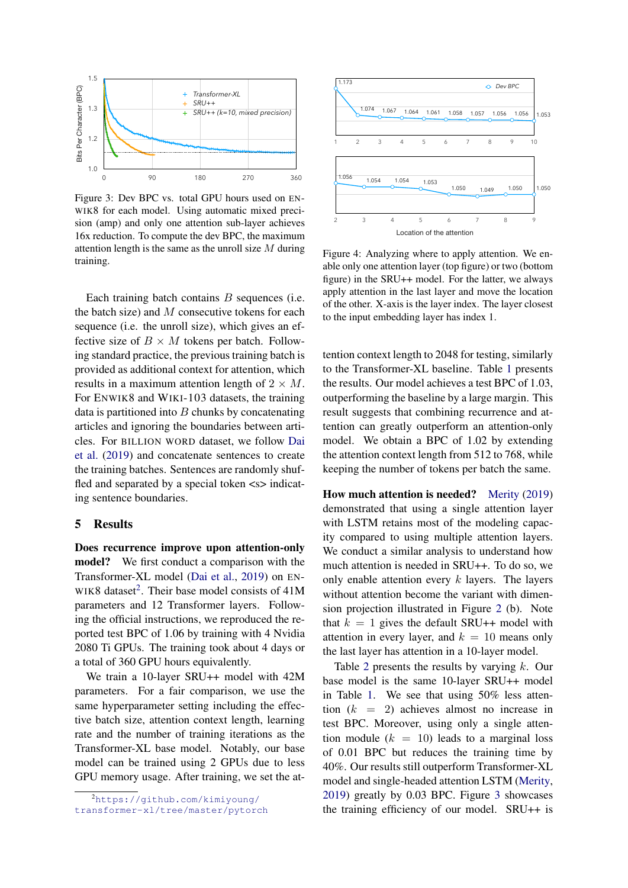<span id="page-4-1"></span>

Figure 3: Dev BPC vs. total GPU hours used on EN-WIK8 for each model. Using automatic mixed precision (amp) and only one attention sub-layer achieves 16x reduction. To compute the dev BPC, the maximum attention length is the same as the unroll size  $M$  during training.

Each training batch contains  $B$  sequences (i.e. the batch size) and  $M$  consecutive tokens for each sequence (i.e. the unroll size), which gives an effective size of  $B \times M$  tokens per batch. Following standard practice, the previous training batch is provided as additional context for attention, which results in a maximum attention length of  $2 \times M$ . For ENWIK8 and WIKI-103 datasets, the training data is partitioned into  $B$  chunks by concatenating articles and ignoring the boundaries between articles. For BILLION WORD dataset, we follow [Dai](#page-9-5) [et al.](#page-9-5) [\(2019\)](#page-9-5) and concatenate sentences to create the training batches. Sentences are randomly shuffled and separated by a special token  $\langle s \rangle$  indicating sentence boundaries.

## <span id="page-4-0"></span>5 Results

Does recurrence improve upon attention-only model? We first conduct a comparison with the Transformer-XL model [\(Dai et al.,](#page-9-5) [2019\)](#page-9-5) on EN-WIK8 dataset<sup>[2](#page-0-1)</sup>. Their base model consists of  $41M$ parameters and 12 Transformer layers. Following the official instructions, we reproduced the reported test BPC of 1.06 by training with 4 Nvidia 2080 Ti GPUs. The training took about 4 days or a total of 360 GPU hours equivalently.

We train a 10-layer SRU++ model with 42M parameters. For a fair comparison, we use the same hyperparameter setting including the effective batch size, attention context length, learning rate and the number of training iterations as the Transformer-XL base model. Notably, our base model can be trained using 2 GPUs due to less GPU memory usage. After training, we set the at-

<span id="page-4-2"></span>

Figure 4: Analyzing where to apply attention. We enable only one attention layer (top figure) or two (bottom figure) in the SRU++ model. For the latter, we always apply attention in the last layer and move the location of the other. X-axis is the layer index. The layer closest to the input embedding layer has index 1.

outperforming the baseline by a large margin. This  $\overline{\phantom{a}}$ model. We obtain a BPC of 1.02 by extending 5d tention can greatly outperform an attention-only result suggests that combining recurrence and atthe attention context length from 512 to 768, while tention context length to 2048 for testing, similarly to the Transformer-XL baseline. Table [1](#page-3-0) presents the results. Our model achieves a test BPC of 1.03, keeping the number of tokens per batch the same.

How much attention is needed? [Merity](#page-10-2) [\(2019\)](#page-10-2) demonstrated that using a single attention layer with LSTM retains most of the modeling capacity compared to using multiple attention layers. We conduct a similar analysis to understand how much attention is needed in SRU++. To do so, we only enable attention every  $k$  layers. The layers without attention become the variant with dimension projection illustrated in Figure [2](#page-2-0) (b). Note that  $k = 1$  gives the default SRU++ model with attention in every layer, and  $k = 10$  means only the last layer has attention in a 10-layer model.

Table [2](#page-3-1) presents the results by varying  $k$ . Our base model is the same 10-layer SRU++ model in Table [1.](#page-3-0) We see that using 50% less attention  $(k = 2)$  achieves almost no increase in test BPC. Moreover, using only a single attention module  $(k = 10)$  leads to a marginal loss of 0.01 BPC but reduces the training time by 40%. Our results still outperform Transformer-XL model and single-headed attention LSTM [\(Merity,](#page-10-2) [2019\)](#page-10-2) greatly by 0.03 BPC. Figure [3](#page-4-1) showcases the training efficiency of our model. SRU++ is

<sup>2</sup>[https://github.com/kimiyoung/](https://github.com/kimiyoung/transformer-xl/tree/master/pytorch) [transformer-xl/tree/master/pytorch](https://github.com/kimiyoung/transformer-xl/tree/master/pytorch)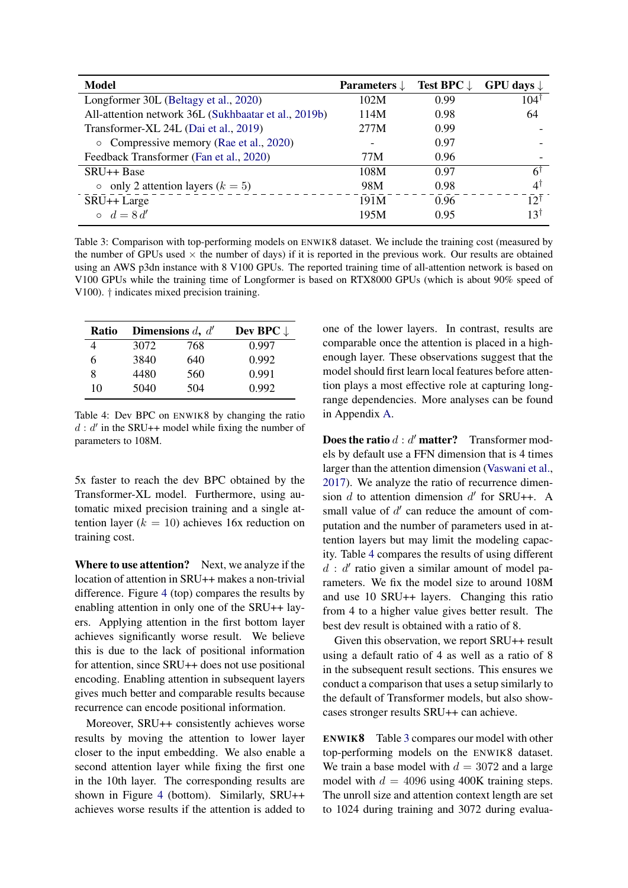<span id="page-5-1"></span>

| Model                                                | Parameters $\downarrow$ | Test BPC $\downarrow$ | GPU days $\downarrow$ |
|------------------------------------------------------|-------------------------|-----------------------|-----------------------|
| Longformer 30L (Beltagy et al., 2020)                | 102M                    | 0.99                  | $104^{\dagger}$       |
| All-attention network 36L (Sukhbaatar et al., 2019b) | 114M                    | 0.98                  | 64                    |
| Transformer-XL 24L (Dai et al., 2019)                | 277M                    | 0.99                  |                       |
| • Compressive memory (Rae et al., 2020)              |                         | 0.97                  |                       |
| Feedback Transformer (Fan et al., 2020)              | 77M                     | 0.96                  |                       |
| SRU++ Base                                           | 108M                    | 0.97                  | 61                    |
| only 2 attention layers $(k = 5)$<br>$\circ$         | 98M                     | 0.98                  | $4^{\dagger}$         |
| SRU <sub>++</sub> Large                              | 191M                    | 0.96                  | 12 <sup>†</sup>       |
| $\circ$ $d = 8d'$                                    | 195M                    | 0.95                  | 13†                   |

Table 3: Comparison with top-performing models on ENWIK8 dataset. We include the training cost (measured by the number of GPUs used  $\times$  the number of days) if it is reported in the previous work. Our results are obtained using an AWS p3dn instance with 8 V100 GPUs. The reported training time of all-attention network is based on V100 GPUs while the training time of Longformer is based on RTX8000 GPUs (which is about 90% speed of V100). † indicates mixed precision training.

<span id="page-5-0"></span>

| Ratio |      | Dimensions $d, d'$ | Dev BPC $\downarrow$ |
|-------|------|--------------------|----------------------|
|       | 3072 | 768                | 0.997                |
| 6     | 3840 | 640                | 0.992                |
| 8     | 4480 | 560                | 0.991                |
| 10    | 5040 | 504                | 0.992                |

Table 4: Dev BPC on ENWIK8 by changing the ratio  $d : d'$  in the SRU++ model while fixing the number of parameters to 108M.

5x faster to reach the dev BPC obtained by the Transformer-XL model. Furthermore, using automatic mixed precision training and a single attention layer ( $k = 10$ ) achieves 16x reduction on training cost.

Where to use attention? Next, we analyze if the location of attention in SRU++ makes a non-trivial difference. Figure [4](#page-4-2) (top) compares the results by enabling attention in only one of the SRU++ layers. Applying attention in the first bottom layer achieves significantly worse result. We believe this is due to the lack of positional information for attention, since SRU++ does not use positional encoding. Enabling attention in subsequent layers gives much better and comparable results because recurrence can encode positional information.

Moreover, SRU++ consistently achieves worse results by moving the attention to lower layer closer to the input embedding. We also enable a second attention layer while fixing the first one in the 10th layer. The corresponding results are shown in Figure [4](#page-4-2) (bottom). Similarly, SRU++ achieves worse results if the attention is added to one of the lower layers. In contrast, results are comparable once the attention is placed in a highenough layer. These observations suggest that the model should first learn local features before attention plays a most effective role at capturing longrange dependencies. More analyses can be found in Appendix [A.](#page-12-1)

**Does the ratio**  $d : d'$  **matter?** Transformer models by default use a FFN dimension that is 4 times larger than the attention dimension [\(Vaswani et al.,](#page-11-0) [2017\)](#page-11-0). We analyze the ratio of recurrence dimension  $d$  to attention dimension  $d'$  for SRU++. A small value of  $d'$  can reduce the amount of computation and the number of parameters used in attention layers but may limit the modeling capacity. Table [4](#page-5-0) compares the results of using different  $d : d'$  ratio given a similar amount of model parameters. We fix the model size to around 108M and use 10 SRU++ layers. Changing this ratio from 4 to a higher value gives better result. The best dev result is obtained with a ratio of 8.

Given this observation, we report SRU++ result using a default ratio of 4 as well as a ratio of 8 in the subsequent result sections. This ensures we conduct a comparison that uses a setup similarly to the default of Transformer models, but also showcases stronger results SRU++ can achieve.

ENWIK8 Table [3](#page-5-1) compares our model with other top-performing models on the ENWIK8 dataset. We train a base model with  $d = 3072$  and a large model with  $d = 4096$  using 400K training steps. The unroll size and attention context length are set to 1024 during training and 3072 during evalua-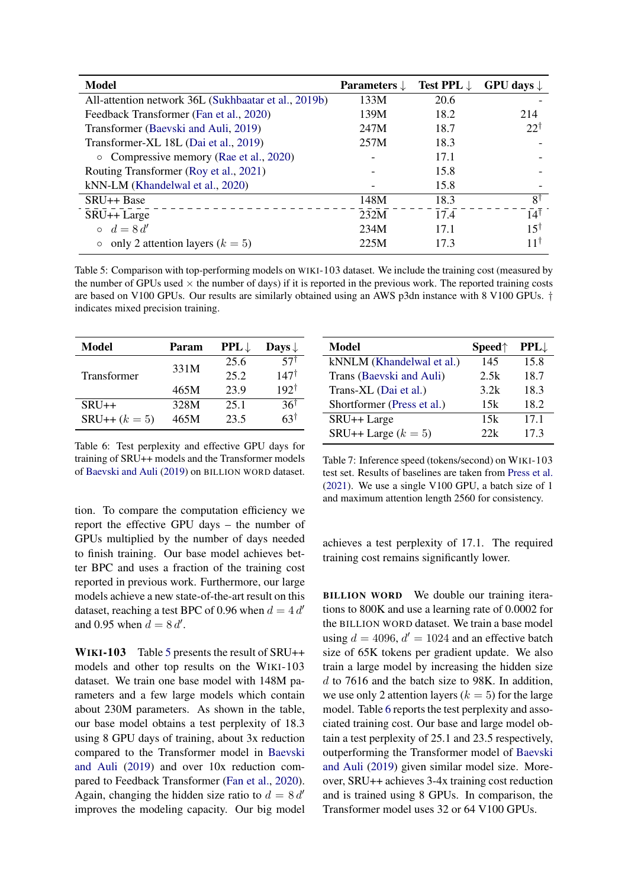<span id="page-6-0"></span>

| <b>Model</b>                                         | Parameters $\downarrow$ | <b>Test PPL</b> $\downarrow$ | GPU days $\downarrow$ |
|------------------------------------------------------|-------------------------|------------------------------|-----------------------|
| All-attention network 36L (Sukhbaatar et al., 2019b) | 133M                    | 20.6                         |                       |
| Feedback Transformer (Fan et al., 2020)              | 139M                    | 18.2                         | 214                   |
| Transformer (Baevski and Auli, 2019)                 | 247M                    | 18.7                         | $22^{\dagger}$        |
| Transformer-XL 18L (Dai et al., 2019)                | 257M                    | 18.3                         |                       |
| • Compressive memory (Rae et al., 2020)              |                         | 17.1                         |                       |
| Routing Transformer (Roy et al., 2021)               |                         | 15.8                         |                       |
| kNN-LM (Khandelwal et al., 2020)                     |                         | 15.8                         |                       |
| SRU++ Base                                           | 148M                    | 18.3                         | $8^{\dagger}$         |
| SRU <sub>++</sub> Large                              | 232M                    | 17.4                         | $14^{\dagger}$        |
| $\circ$ $d=8d'$                                      | 234M                    | 17.1                         | $15^{\dagger}$        |
| only 2 attention layers $(k = 5)$                    | 225M                    | 17.3                         | 11⊺                   |

Table 5: Comparison with top-performing models on WIKI-103 dataset. We include the training cost (measured by the number of GPUs used  $\times$  the number of days) if it is reported in the previous work. The reported training costs are based on V100 GPUs. Our results are similarly obtained using an AWS p3dn instance with 8 V100 GPUs. † indicates mixed precision training.

<span id="page-6-1"></span>

| Model              | Param | $PPL \downarrow$ | Days $\downarrow$ |
|--------------------|-------|------------------|-------------------|
|                    | 331M  | 25.6             | 57 <sup>†</sup>   |
| <b>Transformer</b> |       | 25.2             | $147^{\dagger}$   |
|                    | 465M  | 23.9             | $192^{\dagger}$   |
| $SRU++$            | 328M  | 25.1             | 361               |
| $SRU++ (k = 5)$    | 465M  | 23.5             | 631               |

Table 6: Test perplexity and effective GPU days for training of SRU++ models and the Transformer models of [Baevski and Auli](#page-9-12) [\(2019\)](#page-9-12) on BILLION WORD dataset.

tion. To compare the computation efficiency we report the effective GPU days – the number of GPUs multiplied by the number of days needed to finish training. Our base model achieves better BPC and uses a fraction of the training cost reported in previous work. Furthermore, our large models achieve a new state-of-the-art result on this dataset, reaching a test BPC of 0.96 when  $d = 4 d'$ and 0.95 when  $d = 8 d'$ .

WIKI-103 Table [5](#page-6-0) presents the result of SRU++ models and other top results on the WIKI-103 dataset. We train one base model with 148M parameters and a few large models which contain about 230M parameters. As shown in the table, our base model obtains a test perplexity of 18.3 using 8 GPU days of training, about 3x reduction compared to the Transformer model in [Baevski](#page-9-12) [and Auli](#page-9-12) [\(2019\)](#page-9-12) and over 10x reduction compared to Feedback Transformer [\(Fan et al.,](#page-9-16) [2020\)](#page-9-16). Again, changing the hidden size ratio to  $d = 8 d'$ improves the modeling capacity. Our big model

<span id="page-6-2"></span>

| Model                      | Speed <sub>†</sub> | $PPL$ |
|----------------------------|--------------------|-------|
| kNNLM (Khandelwal et al.)  | 145                | 15.8  |
| Trans (Baevski and Auli)   | 2.5k               | 18.7  |
| Trans-XL (Dai et al.)      | 3.2k               | 18.3  |
| Shortformer (Press et al.) | 15k                | 18.2  |
| SRU <sub>++</sub> Large    | 15k                | 17.1  |
| SRU++ Large $(k = 5)$      | 22k                | 17.3  |

Table 7: Inference speed (tokens/second) on WIKI-103 test set. Results of baselines are taken from [Press et al.](#page-10-12) [\(2021\)](#page-10-12). We use a single V100 GPU, a batch size of 1 and maximum attention length 2560 for consistency.

achieves a test perplexity of 17.1. The required training cost remains significantly lower.

BILLION WORD We double our training iterations to 800K and use a learning rate of 0.0002 for the BILLION WORD dataset. We train a base model using  $d = 4096$ ,  $d' = 1024$  and an effective batch size of 65K tokens per gradient update. We also train a large model by increasing the hidden size d to 7616 and the batch size to 98K. In addition, we use only 2 attention layers  $(k = 5)$  for the large model. Table [6](#page-6-1) reports the test perplexity and associated training cost. Our base and large model obtain a test perplexity of 25.1 and 23.5 respectively, outperforming the Transformer model of [Baevski](#page-9-12) [and Auli](#page-9-12) [\(2019\)](#page-9-12) given similar model size. Moreover, SRU++ achieves 3-4x training cost reduction and is trained using 8 GPUs. In comparison, the Transformer model uses 32 or 64 V100 GPUs.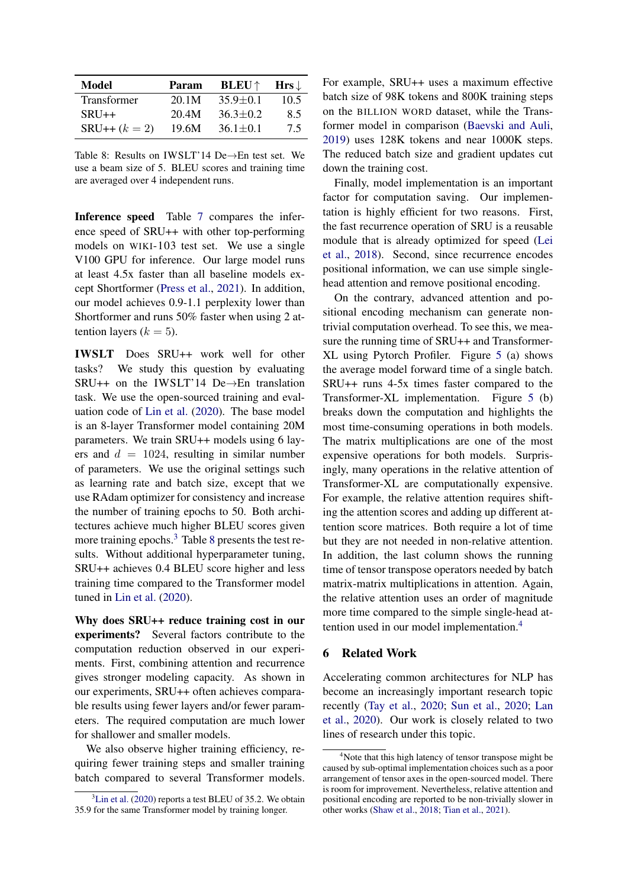<span id="page-7-0"></span>

| Model              | Param | <b>BLEU</b> $\uparrow$ | $Hrs \downarrow$ |
|--------------------|-------|------------------------|------------------|
| <b>Transformer</b> | 20.1M | $35.9 + 0.1$           | 10.5             |
| $SRU++$            | 20.4M | $36.3 \pm 0.2$         | 8.5              |
| $SRU++ (k = 2)$    | 19.6M | $36.1 \pm 0.1$         | 75               |

Table 8: Results on IWSLT'14 De→En test set. We use a beam size of 5. BLEU scores and training time are averaged over 4 independent runs.

Inference speed Table [7](#page-6-2) compares the inference speed of SRU++ with other top-performing models on WIKI-103 test set. We use a single V100 GPU for inference. Our large model runs at least 4.5x faster than all baseline models except Shortformer [\(Press et al.,](#page-10-12) [2021\)](#page-10-12). In addition, our model achieves 0.9-1.1 perplexity lower than Shortformer and runs 50% faster when using 2 attention layers ( $k = 5$ ).

IWSLT Does SRU++ work well for other tasks? We study this question by evaluating SRU++ on the IWSLT'14 De→En translation task. We use the open-sourced training and evaluation code of [Lin et al.](#page-10-9) [\(2020\)](#page-10-9). The base model is an 8-layer Transformer model containing 20M parameters. We train SRU++ models using 6 layers and  $d = 1024$ , resulting in similar number of parameters. We use the original settings such as learning rate and batch size, except that we use RAdam optimizer for consistency and increase the number of training epochs to 50. Both architectures achieve much higher BLEU scores given more training epochs.<sup>[3](#page-0-1)</sup> Table [8](#page-7-0) presents the test results. Without additional hyperparameter tuning, SRU++ achieves 0.4 BLEU score higher and less training time compared to the Transformer model tuned in [Lin et al.](#page-10-9) [\(2020\)](#page-10-9).

Why does SRU++ reduce training cost in our experiments? Several factors contribute to the computation reduction observed in our experiments. First, combining attention and recurrence gives stronger modeling capacity. As shown in our experiments, SRU++ often achieves comparable results using fewer layers and/or fewer parameters. The required computation are much lower for shallower and smaller models.

We also observe higher training efficiency, requiring fewer training steps and smaller training batch compared to several Transformer models. For example, SRU++ uses a maximum effective batch size of 98K tokens and 800K training steps on the BILLION WORD dataset, while the Transformer model in comparison [\(Baevski and Auli,](#page-9-12) [2019\)](#page-9-12) uses 128K tokens and near 1000K steps. The reduced batch size and gradient updates cut down the training cost.

Finally, model implementation is an important factor for computation saving. Our implementation is highly efficient for two reasons. First, the fast recurrence operation of SRU is a reusable module that is already optimized for speed [\(Lei](#page-10-3) [et al.,](#page-10-3) [2018\)](#page-10-3). Second, since recurrence encodes positional information, we can use simple singlehead attention and remove positional encoding.

On the contrary, advanced attention and positional encoding mechanism can generate nontrivial computation overhead. To see this, we measure the running time of SRU++ and Transformer-XL using Pytorch Profiler. Figure [5](#page-8-0) (a) shows the average model forward time of a single batch. SRU++ runs 4-5x times faster compared to the Transformer-XL implementation. Figure [5](#page-8-0) (b) breaks down the computation and highlights the most time-consuming operations in both models. The matrix multiplications are one of the most expensive operations for both models. Surprisingly, many operations in the relative attention of Transformer-XL are computationally expensive. For example, the relative attention requires shifting the attention scores and adding up different attention score matrices. Both require a lot of time but they are not needed in non-relative attention. In addition, the last column shows the running time of tensor transpose operators needed by batch matrix-matrix multiplications in attention. Again, the relative attention uses an order of magnitude more time compared to the simple single-head attention used in our model implementation.[4](#page-0-1)

#### 6 Related Work

Accelerating common architectures for NLP has become an increasingly important research topic recently [\(Tay et al.,](#page-11-3) [2020;](#page-11-3) [Sun et al.,](#page-11-4) [2020;](#page-11-4) [Lan](#page-10-20) [et al.,](#page-10-20) [2020\)](#page-10-20). Our work is closely related to two lines of research under this topic.

 ${}^{3}$ [Lin et al.](#page-10-9) [\(2020\)](#page-10-9) reports a test BLEU of 35.2. We obtain 35.9 for the same Transformer model by training longer.

<sup>&</sup>lt;sup>4</sup>Note that this high latency of tensor transpose might be caused by sub-optimal implementation choices such as a poor arrangement of tensor axes in the open-sourced model. There is room for improvement. Nevertheless, relative attention and positional encoding are reported to be non-trivially slower in other works [\(Shaw et al.,](#page-10-11) [2018;](#page-10-11) [Tian et al.,](#page-11-5) [2021\)](#page-11-5).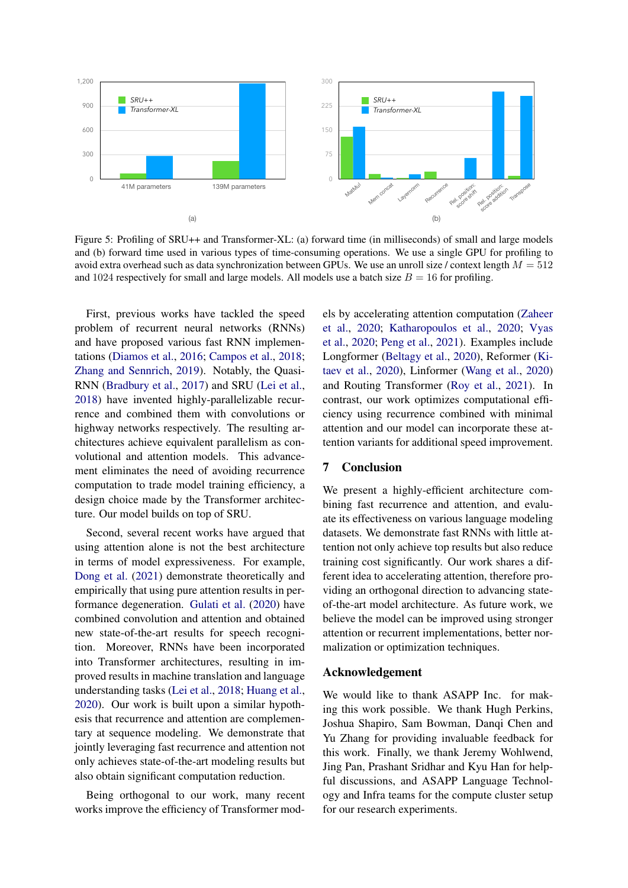<span id="page-8-0"></span>

and 1024 respectively for small and large models. All models use a batch size  $B = 16$  for profiling. Figure 5: Profiling of SRU++ and Transformer-XL: (a) forward time (in milliseconds) of small and large models and (b) forward time used in various types of time-consuming operations. We use a single GPU for profiling to avoid extra overhead such as data synchronization between GPUs. We use an unroll size / context length  $M = 512$ 

First, previous works have tackled the speed problem of recurrent neural networks (RNNs) and have proposed various fast RNN implementations [\(Diamos et al.,](#page-9-17) [2016;](#page-9-17) [Campos et al.,](#page-9-18) [2018;](#page-9-18) [Zhang and Sennrich,](#page-11-1) [2019\)](#page-11-1). Notably, the Quasi-RNN [\(Bradbury et al.,](#page-9-3) [2017\)](#page-9-3) and SRU [\(Lei et al.,](#page-10-3) [2018\)](#page-10-3) have invented highly-parallelizable recurrence and combined them with convolutions or highway networks respectively. The resulting architectures achieve equivalent parallelism as convolutional and attention models. This advancement eliminates the need of avoiding recurrence computation to trade model training efficiency, a design choice made by the Transformer architecture. Our model builds on top of SRU.

Second, several recent works have argued that using attention alone is not the best architecture in terms of model expressiveness. For example, [Dong et al.](#page-9-19) [\(2021\)](#page-9-19) demonstrate theoretically and empirically that using pure attention results in performance degeneration. [Gulati et al.](#page-9-20) [\(2020\)](#page-9-20) have combined convolution and attention and obtained new state-of-the-art results for speech recognition. Moreover, RNNs have been incorporated into Transformer architectures, resulting in improved results in machine translation and language understanding tasks [\(Lei et al.,](#page-10-3) [2018;](#page-10-3) [Huang et al.,](#page-9-2) [2020\)](#page-9-2). Our work is built upon a similar hypothesis that recurrence and attention are complementary at sequence modeling. We demonstrate that jointly leveraging fast recurrence and attention not only achieves state-of-the-art modeling results but also obtain significant computation reduction.

Being orthogonal to our work, many recent works improve the efficiency of Transformer models by accelerating attention computation [\(Zaheer](#page-11-6) [et al.,](#page-11-6) [2020;](#page-11-6) [Katharopoulos et al.,](#page-9-21) [2020;](#page-9-21) [Vyas](#page-11-7) [et al.,](#page-11-7) [2020;](#page-11-7) [Peng et al.,](#page-10-21) [2021\)](#page-10-21). Examples include Longformer [\(Beltagy et al.,](#page-9-15) [2020\)](#page-9-15), Reformer [\(Ki](#page-10-22)[taev et al.,](#page-10-22) [2020\)](#page-10-22), Linformer [\(Wang et al.,](#page-11-8) [2020\)](#page-11-8) and Routing Transformer [\(Roy et al.,](#page-10-15) [2021\)](#page-10-15). In contrast, our work optimizes computational efficiency using recurrence combined with minimal attention and our model can incorporate these attention variants for additional speed improvement.

#### 7 Conclusion

We present a highly-efficient architecture combining fast recurrence and attention, and evaluate its effectiveness on various language modeling datasets. We demonstrate fast RNNs with little attention not only achieve top results but also reduce training cost significantly. Our work shares a different idea to accelerating attention, therefore providing an orthogonal direction to advancing stateof-the-art model architecture. As future work, we believe the model can be improved using stronger attention or recurrent implementations, better normalization or optimization techniques.

#### Acknowledgement

We would like to thank ASAPP Inc. for making this work possible. We thank Hugh Perkins, Joshua Shapiro, Sam Bowman, Danqi Chen and Yu Zhang for providing invaluable feedback for this work. Finally, we thank Jeremy Wohlwend, Jing Pan, Prashant Sridhar and Kyu Han for helpful discussions, and ASAPP Language Technology and Infra teams for the compute cluster setup for our research experiments.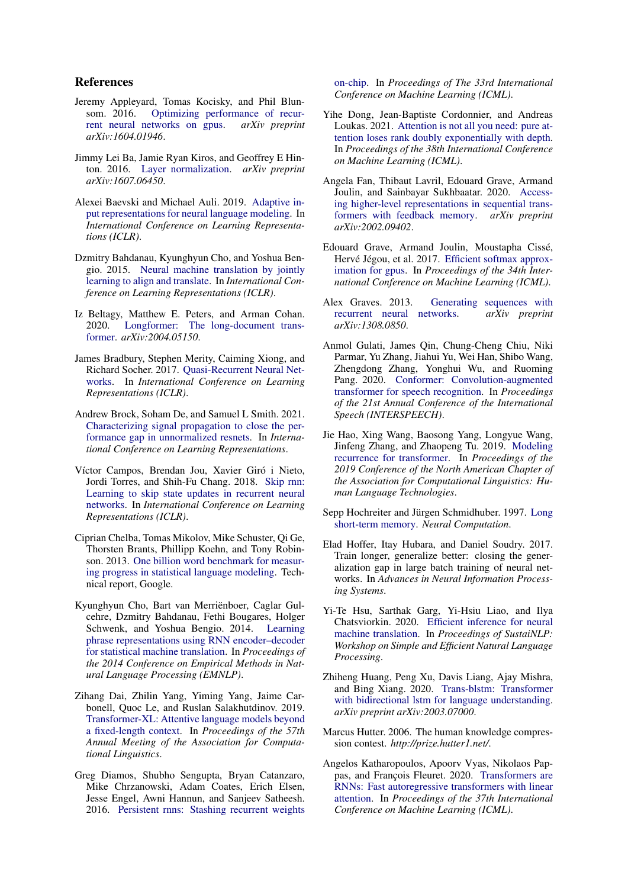### References

- <span id="page-9-8"></span>Jeremy Appleyard, Tomas Kocisky, and Phil Blunsom. 2016. [Optimizing performance of recur](https://arxiv.org/abs/1604.01946)[rent neural networks on gpus.](https://arxiv.org/abs/1604.01946) *arXiv preprint arXiv:1604.01946*.
- <span id="page-9-9"></span>Jimmy Lei Ba, Jamie Ryan Kiros, and Geoffrey E Hinton. 2016. [Layer normalization.](http://arxiv.org/abs/1607.06450) *arXiv preprint arXiv:1607.06450*.
- <span id="page-9-12"></span>Alexei Baevski and Michael Auli. 2019. [Adaptive in](https://openreview.net/forum?id=ByxZX20qFQ)[put representations for neural language modeling.](https://openreview.net/forum?id=ByxZX20qFQ) In *International Conference on Learning Representations (ICLR)*.
- <span id="page-9-0"></span>Dzmitry Bahdanau, Kyunghyun Cho, and Yoshua Bengio. 2015. [Neural machine translation by jointly](https://arxiv.org/abs/1409.0473) [learning to align and translate.](https://arxiv.org/abs/1409.0473) In *International Conference on Learning Representations (ICLR)*.
- <span id="page-9-15"></span>Iz Beltagy, Matthew E. Peters, and Arman Cohan. 2020. [Longformer: The long-document trans](https://arxiv.org/abs/2004.05150)[former.](https://arxiv.org/abs/2004.05150) *arXiv:2004.05150*.
- <span id="page-9-3"></span>James Bradbury, Stephen Merity, Caiming Xiong, and Richard Socher. 2017. [Quasi-Recurrent Neural Net](https://arxiv.org/abs/1611.01576)[works.](https://arxiv.org/abs/1611.01576) In *International Conference on Learning Representations (ICLR)*.
- <span id="page-9-22"></span>Andrew Brock, Soham De, and Samuel L Smith. 2021. [Characterizing signal propagation to close the per](https://openreview.net/forum?id=IX3Nnir2omJ)[formance gap in unnormalized resnets.](https://openreview.net/forum?id=IX3Nnir2omJ) In *International Conference on Learning Representations*.
- <span id="page-9-18"></span>Víctor Campos, Brendan Jou, Xavier Giró i Nieto, Jordi Torres, and Shih-Fu Chang. 2018. [Skip rnn:](https://openreview.net/pdf?id=HkwVAXyCW) [Learning to skip state updates in recurrent neural](https://openreview.net/pdf?id=HkwVAXyCW) [networks.](https://openreview.net/pdf?id=HkwVAXyCW) In *International Conference on Learning Representations (ICLR)*.
- <span id="page-9-13"></span>Ciprian Chelba, Tomas Mikolov, Mike Schuster, Qi Ge, Thorsten Brants, Phillipp Koehn, and Tony Robinson. 2013. [One billion word benchmark for measur](http://arxiv.org/abs/1312.3005)[ing progress in statistical language modeling.](http://arxiv.org/abs/1312.3005) Technical report, Google.
- <span id="page-9-7"></span>Kyunghyun Cho, Bart van Merriënboer, Caglar Gulcehre, Dzmitry Bahdanau, Fethi Bougares, Holger Schwenk, and Yoshua Bengio. 2014. [Learning](https://aclanthology.org/D14-1179) [phrase representations using RNN encoder–decoder](https://aclanthology.org/D14-1179) [for statistical machine translation.](https://aclanthology.org/D14-1179) In *Proceedings of the 2014 Conference on Empirical Methods in Natural Language Processing (EMNLP)*.
- <span id="page-9-5"></span>Zihang Dai, Zhilin Yang, Yiming Yang, Jaime Carbonell, Quoc Le, and Ruslan Salakhutdinov. 2019. [Transformer-XL: Attentive language models beyond](https://aclanthology.org/P19-1285.pdf) [a fixed-length context.](https://aclanthology.org/P19-1285.pdf) In *Proceedings of the 57th Annual Meeting of the Association for Computational Linguistics*.
- <span id="page-9-17"></span>Greg Diamos, Shubho Sengupta, Bryan Catanzaro, Mike Chrzanowski, Adam Coates, Erich Elsen, Jesse Engel, Awni Hannun, and Sanjeev Satheesh. 2016. [Persistent rnns: Stashing recurrent weights](http://proceedings.mlr.press/v48/diamos16.pdf)

[on-chip.](http://proceedings.mlr.press/v48/diamos16.pdf) In *Proceedings of The 33rd International Conference on Machine Learning (ICML)*.

- <span id="page-9-19"></span>Yihe Dong, Jean-Baptiste Cordonnier, and Andreas Loukas. 2021. [Attention is not all you need: pure at](http://proceedings.mlr.press/v139/dong21a/dong21a.pdf)[tention loses rank doubly exponentially with depth.](http://proceedings.mlr.press/v139/dong21a/dong21a.pdf) In *Proceedings of the 38th International Conference on Machine Learning (ICML)*.
- <span id="page-9-16"></span>Angela Fan, Thibaut Lavril, Edouard Grave, Armand Joulin, and Sainbayar Sukhbaatar. 2020. [Access](https://arxiv.org/abs/2002.09402v3)[ing higher-level representations in sequential trans](https://arxiv.org/abs/2002.09402v3)[formers with feedback memory.](https://arxiv.org/abs/2002.09402v3) *arXiv preprint arXiv:2002.09402*.
- <span id="page-9-11"></span>Edouard Grave, Armand Joulin, Moustapha Cissé, Hervé Jégou, et al. 2017. [Efficient softmax approx](http://proceedings.mlr.press/v70/grave17a/grave17a.pdf)[imation for gpus.](http://proceedings.mlr.press/v70/grave17a/grave17a.pdf) In *Proceedings of the 34th International Conference on Machine Learning (ICML)*.
- <span id="page-9-14"></span>Alex Graves. 2013. [Generating sequences with](https://arxiv.org/abs/1308.0850) [recurrent neural networks.](https://arxiv.org/abs/1308.0850) *arXiv preprint arXiv:1308.0850*.
- <span id="page-9-20"></span>Anmol Gulati, James Qin, Chung-Cheng Chiu, Niki Parmar, Yu Zhang, Jiahui Yu, Wei Han, Shibo Wang, Zhengdong Zhang, Yonghui Wu, and Ruoming Pang. 2020. [Conformer: Convolution-augmented](https://doi.org/10.21437/Interspeech.2020-3015) [transformer for speech recognition.](https://doi.org/10.21437/Interspeech.2020-3015) In *Proceedings of the 21st Annual Conference of the International Speech (INTERSPEECH)*.
- <span id="page-9-1"></span>Jie Hao, Xing Wang, Baosong Yang, Longyue Wang, Jinfeng Zhang, and Zhaopeng Tu. 2019. [Modeling](https://aclanthology.org/N19-1122.pdf) [recurrence for transformer.](https://aclanthology.org/N19-1122.pdf) In *Proceedings of the 2019 Conference of the North American Chapter of the Association for Computational Linguistics: Human Language Technologies*.
- <span id="page-9-6"></span>Sepp Hochreiter and Jürgen Schmidhuber. 1997. [Long](https://direct.mit.edu/neco/article/9/8/1735/6109/Long-Short-Term-Memory) [short-term memory.](https://direct.mit.edu/neco/article/9/8/1735/6109/Long-Short-Term-Memory) *Neural Computation*.
- <span id="page-9-23"></span>Elad Hoffer, Itay Hubara, and Daniel Soudry. 2017. Train longer, generalize better: closing the generalization gap in large batch training of neural networks. In *Advances in Neural Information Processing Systems*.
- <span id="page-9-4"></span>Yi-Te Hsu, Sarthak Garg, Yi-Hsiu Liao, and Ilya Chatsviorkin. 2020. [Efficient inference for neural](https://aclanthology.org/2020.sustainlp-1.7) [machine translation.](https://aclanthology.org/2020.sustainlp-1.7) In *Proceedings of SustaiNLP: Workshop on Simple and Efficient Natural Language Processing*.
- <span id="page-9-2"></span>Zhiheng Huang, Peng Xu, Davis Liang, Ajay Mishra, and Bing Xiang. 2020. [Trans-blstm: Transformer](https://arxiv.org/abs/2003.07000) [with bidirectional lstm for language understanding.](https://arxiv.org/abs/2003.07000) *arXiv preprint arXiv:2003.07000*.
- <span id="page-9-10"></span>Marcus Hutter. 2006. The human knowledge compression contest. *http://prize.hutter1.net/*.
- <span id="page-9-21"></span>Angelos Katharopoulos, Apoorv Vyas, Nikolaos Pappas, and François Fleuret. 2020. [Transformers are](http://proceedings.mlr.press/v119/katharopoulos20a/katharopoulos20a.pdf) [RNNs: Fast autoregressive transformers with linear](http://proceedings.mlr.press/v119/katharopoulos20a/katharopoulos20a.pdf) [attention.](http://proceedings.mlr.press/v119/katharopoulos20a/katharopoulos20a.pdf) In *Proceedings of the 37th International Conference on Machine Learning (ICML)*.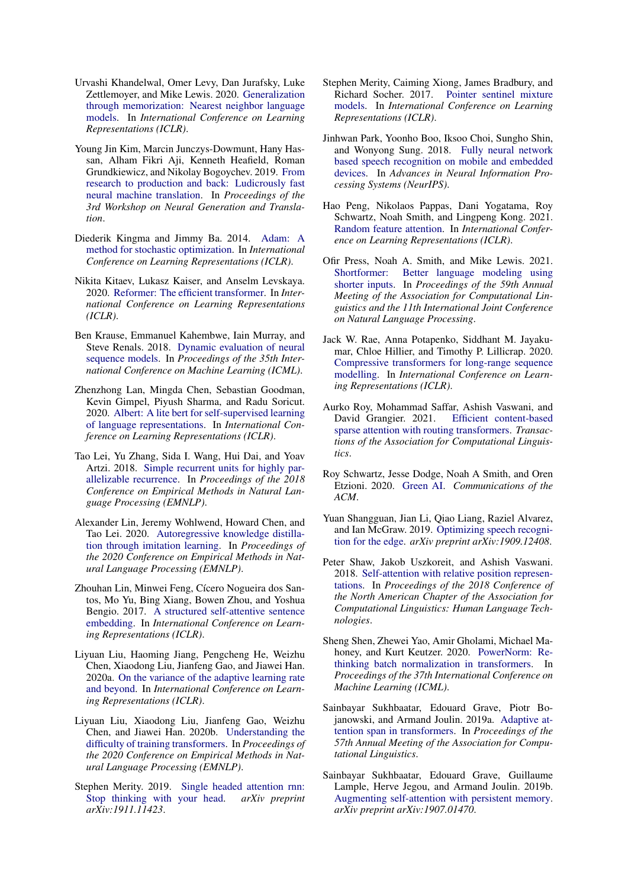- <span id="page-10-13"></span>Urvashi Khandelwal, Omer Levy, Dan Jurafsky, Luke Zettlemoyer, and Mike Lewis. 2020. [Generalization](https://openreview.net/forum?id=HklBjCEKvH) [through memorization: Nearest neighbor language](https://openreview.net/forum?id=HklBjCEKvH) [models.](https://openreview.net/forum?id=HklBjCEKvH) In *International Conference on Learning Representations (ICLR)*.
- <span id="page-10-5"></span>Young Jin Kim, Marcin Junczys-Dowmunt, Hany Hassan, Alham Fikri Aji, Kenneth Heafield, Roman Grundkiewicz, and Nikolay Bogoychev. 2019. [From](https://aclanthology.org/D19-5632) [research to production and back: Ludicrously fast](https://aclanthology.org/D19-5632) [neural machine translation.](https://aclanthology.org/D19-5632) In *Proceedings of the 3rd Workshop on Neural Generation and Translation*.
- <span id="page-10-18"></span>Diederik Kingma and Jimmy Ba. 2014. [Adam: A](https://arxiv.org/abs/1412.6980) [method for stochastic optimization.](https://arxiv.org/abs/1412.6980) In *International Conference on Learning Representations (ICLR)*.
- <span id="page-10-22"></span>Nikita Kitaev, Lukasz Kaiser, and Anselm Levskaya. 2020. [Reformer: The efficient transformer.](https://openreview.net/forum?id=rkgNKkHtvB) In *International Conference on Learning Representations (ICLR)*.
- <span id="page-10-16"></span>Ben Krause, Emmanuel Kahembwe, Iain Murray, and Steve Renals. 2018. [Dynamic evaluation of neural](http://proceedings.mlr.press/v80/krause18a/krause18a.pdf) [sequence models.](http://proceedings.mlr.press/v80/krause18a/krause18a.pdf) In *Proceedings of the 35th International Conference on Machine Learning (ICML)*.
- <span id="page-10-20"></span>Zhenzhong Lan, Mingda Chen, Sebastian Goodman, Kevin Gimpel, Piyush Sharma, and Radu Soricut. 2020. [Albert: A lite bert for self-supervised learning](https://openreview.net/forum?id=H1eA7AEtvS) [of language representations.](https://openreview.net/forum?id=H1eA7AEtvS) In *International Conference on Learning Representations (ICLR)*.
- <span id="page-10-3"></span>Tao Lei, Yu Zhang, Sida I. Wang, Hui Dai, and Yoav Artzi. 2018. [Simple recurrent units for highly par](https://arxiv.org/abs/1709.02755)[allelizable recurrence.](https://arxiv.org/abs/1709.02755) In *Proceedings of the 2018 Conference on Empirical Methods in Natural Language Processing (EMNLP)*.
- <span id="page-10-9"></span>Alexander Lin, Jeremy Wohlwend, Howard Chen, and Tao Lei. 2020. [Autoregressive knowledge distilla](https://arxiv.org/abs/2009.07253)[tion through imitation learning.](https://arxiv.org/abs/2009.07253) In *Proceedings of the 2020 Conference on Empirical Methods in Natural Language Processing (EMNLP)*.
- <span id="page-10-1"></span>Zhouhan Lin, Minwei Feng, Cícero Nogueira dos Santos, Mo Yu, Bing Xiang, Bowen Zhou, and Yoshua Bengio. 2017. [A structured self-attentive sentence](https://openreview.net/forum?id=BJC_jUqxe) [embedding.](https://openreview.net/forum?id=BJC_jUqxe) In *International Conference on Learning Representations (ICLR)*.
- <span id="page-10-17"></span>Liyuan Liu, Haoming Jiang, Pengcheng He, Weizhu Chen, Xiaodong Liu, Jianfeng Gao, and Jiawei Han. 2020a. [On the variance of the adaptive learning rate](https://arxiv.org/abs/1908.03265) [and beyond.](https://arxiv.org/abs/1908.03265) In *International Conference on Learning Representations (ICLR)*.
- <span id="page-10-7"></span>Liyuan Liu, Xiaodong Liu, Jianfeng Gao, Weizhu Chen, and Jiawei Han. 2020b. [Understanding the](https://arxiv.org/abs/2004.08249) [difficulty of training transformers.](https://arxiv.org/abs/2004.08249) In *Proceedings of the 2020 Conference on Empirical Methods in Natural Language Processing (EMNLP)*.
- <span id="page-10-2"></span>Stephen Merity. 2019. [Single headed attention rnn:](https://arxiv.org/abs/1911.11423) [Stop thinking with your head.](https://arxiv.org/abs/1911.11423) *arXiv preprint arXiv:1911.11423*.
- <span id="page-10-8"></span>Stephen Merity, Caiming Xiong, James Bradbury, and Richard Socher. 2017. [Pointer sentinel mixture](https://openreview.net/forum?id=Byj72udxe) [models.](https://openreview.net/forum?id=Byj72udxe) In *International Conference on Learning Representations (ICLR)*.
- <span id="page-10-4"></span>Jinhwan Park, Yoonho Boo, Iksoo Choi, Sungho Shin, and Wonyong Sung. 2018. [Fully neural network](https://proceedings.neurips.cc/paper/2018/file/42299f06ee419aa5d9d07798b56779e2-Paper.pdf) [based speech recognition on mobile and embedded](https://proceedings.neurips.cc/paper/2018/file/42299f06ee419aa5d9d07798b56779e2-Paper.pdf) [devices.](https://proceedings.neurips.cc/paper/2018/file/42299f06ee419aa5d9d07798b56779e2-Paper.pdf) In *Advances in Neural Information Processing Systems (NeurIPS)*.
- <span id="page-10-21"></span>Hao Peng, Nikolaos Pappas, Dani Yogatama, Roy Schwartz, Noah Smith, and Lingpeng Kong. 2021. [Random feature attention.](https://arxiv.org/abs/2103.02143) In *International Conference on Learning Representations (ICLR)*.
- <span id="page-10-12"></span>Ofir Press, Noah A. Smith, and Mike Lewis. 2021. [Shortformer: Better language modeling using](https://aclanthology.org/2021.acl-long.427.pdf) [shorter inputs.](https://aclanthology.org/2021.acl-long.427.pdf) In *Proceedings of the 59th Annual Meeting of the Association for Computational Linguistics and the 11th International Joint Conference on Natural Language Processing*.
- <span id="page-10-10"></span>Jack W. Rae, Anna Potapenko, Siddhant M. Jayakumar, Chloe Hillier, and Timothy P. Lillicrap. 2020. [Compressive transformers for long-range sequence](https://openreview.net/forum?id=SylKikSYDH) [modelling.](https://openreview.net/forum?id=SylKikSYDH) In *International Conference on Learning Representations (ICLR)*.
- <span id="page-10-15"></span>Aurko Roy, Mohammad Saffar, Ashish Vaswani, and David Grangier. 2021. [Efficient content-based](https://aclanthology.org/2021.tacl-1.4.pdf) [sparse attention with routing transformers.](https://aclanthology.org/2021.tacl-1.4.pdf) *Transactions of the Association for Computational Linguistics*.
- <span id="page-10-0"></span>Roy Schwartz, Jesse Dodge, Noah A Smith, and Oren Etzioni. 2020. [Green AI.](https://arxiv.org/abs/1907.10597) *Communications of the ACM*.
- <span id="page-10-6"></span>Yuan Shangguan, Jian Li, Qiao Liang, Raziel Alvarez, and Ian McGraw. 2019. [Optimizing speech recogni](https://arxiv.org/abs/1909.12408)[tion for the edge.](https://arxiv.org/abs/1909.12408) *arXiv preprint arXiv:1909.12408*.
- <span id="page-10-11"></span>Peter Shaw, Jakob Uszkoreit, and Ashish Vaswani. 2018. [Self-attention with relative position represen](https://arxiv.org/abs/1803.02155)[tations.](https://arxiv.org/abs/1803.02155) In *Proceedings of the 2018 Conference of the North American Chapter of the Association for Computational Linguistics: Human Language Technologies*.
- <span id="page-10-23"></span>Sheng Shen, Zhewei Yao, Amir Gholami, Michael Mahoney, and Kurt Keutzer. 2020. [PowerNorm: Re](http://proceedings.mlr.press/v119/shen20e/shen20e.pdf)[thinking batch normalization in transformers.](http://proceedings.mlr.press/v119/shen20e/shen20e.pdf) In *Proceedings of the 37th International Conference on Machine Learning (ICML)*.
- <span id="page-10-14"></span>Sainbayar Sukhbaatar, Edouard Grave, Piotr Bojanowski, and Armand Joulin. 2019a. [Adaptive at](https://arxiv.org/abs/1905.07799)[tention span in transformers.](https://arxiv.org/abs/1905.07799) In *Proceedings of the 57th Annual Meeting of the Association for Computational Linguistics*.
- <span id="page-10-19"></span>Sainbayar Sukhbaatar, Edouard Grave, Guillaume Lample, Herve Jegou, and Armand Joulin. 2019b. [Augmenting self-attention with persistent memory.](https://arxiv.org/abs/1907.01470) *arXiv preprint arXiv:1907.01470*.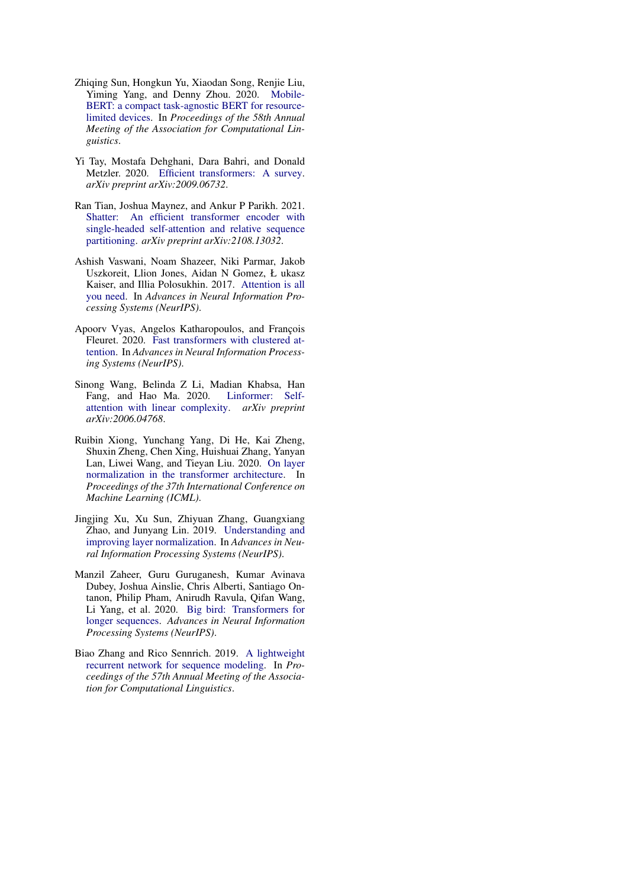- <span id="page-11-4"></span>Zhiqing Sun, Hongkun Yu, Xiaodan Song, Renjie Liu, Yiming Yang, and Denny Zhou. 2020. [Mobile-](https://www.aclweb.org/anthology/2020.acl-main.195.pdf)[BERT: a compact task-agnostic BERT for resource](https://www.aclweb.org/anthology/2020.acl-main.195.pdf)[limited devices.](https://www.aclweb.org/anthology/2020.acl-main.195.pdf) In *Proceedings of the 58th Annual Meeting of the Association for Computational Linguistics*.
- <span id="page-11-3"></span>Yi Tay, Mostafa Dehghani, Dara Bahri, and Donald Metzler. 2020. [Efficient transformers: A survey.](https://arxiv.org/abs/2009.06732) *arXiv preprint arXiv:2009.06732*.
- <span id="page-11-5"></span>Ran Tian, Joshua Maynez, and Ankur P Parikh. 2021. [Shatter: An efficient transformer encoder with](https://arxiv.org/abs/2108.13032) [single-headed self-attention and relative sequence](https://arxiv.org/abs/2108.13032) [partitioning.](https://arxiv.org/abs/2108.13032) *arXiv preprint arXiv:2108.13032*.
- <span id="page-11-0"></span>Ashish Vaswani, Noam Shazeer, Niki Parmar, Jakob Uszkoreit, Llion Jones, Aidan N Gomez, Ł ukasz Kaiser, and Illia Polosukhin. 2017. [Attention is all](https://proceedings.neurips.cc/paper/2017/file/3f5ee243547dee91fbd053c1c4a845aa-Paper.pdf) [you need.](https://proceedings.neurips.cc/paper/2017/file/3f5ee243547dee91fbd053c1c4a845aa-Paper.pdf) In *Advances in Neural Information Processing Systems (NeurIPS)*.
- <span id="page-11-7"></span>Apoorv Vyas, Angelos Katharopoulos, and François Fleuret. 2020. [Fast transformers with clustered at](https://proceedings.neurips.cc/paper/2020/file/f6a8dd1c954c8506aadc764cc32b895e-Paper.pdf)[tention.](https://proceedings.neurips.cc/paper/2020/file/f6a8dd1c954c8506aadc764cc32b895e-Paper.pdf) In *Advances in Neural Information Processing Systems (NeurIPS)*.
- <span id="page-11-8"></span>Sinong Wang, Belinda Z Li, Madian Khabsa, Han Fang, and Hao Ma. 2020. [Linformer: Self](https://arxiv.org/abs/2006.04768)[attention with linear complexity.](https://arxiv.org/abs/2006.04768) *arXiv preprint arXiv:2006.04768*.
- <span id="page-11-2"></span>Ruibin Xiong, Yunchang Yang, Di He, Kai Zheng, Shuxin Zheng, Chen Xing, Huishuai Zhang, Yanyan Lan, Liwei Wang, and Tieyan Liu. 2020. [On layer](http://proceedings.mlr.press/v119/xiong20b/xiong20b.pdf) [normalization in the transformer architecture.](http://proceedings.mlr.press/v119/xiong20b/xiong20b.pdf) In *Proceedings of the 37th International Conference on Machine Learning (ICML)*.
- <span id="page-11-9"></span>Jingjing Xu, Xu Sun, Zhiyuan Zhang, Guangxiang Zhao, and Junyang Lin. 2019. [Understanding and](https://arxiv.org/abs/1911.07013) [improving layer normalization.](https://arxiv.org/abs/1911.07013) In *Advances in Neural Information Processing Systems (NeurIPS)*.
- <span id="page-11-6"></span>Manzil Zaheer, Guru Guruganesh, Kumar Avinava Dubey, Joshua Ainslie, Chris Alberti, Santiago Ontanon, Philip Pham, Anirudh Ravula, Qifan Wang, Li Yang, et al. 2020. [Big bird: Transformers for](https://proceedings.neurips.cc/paper/2020/file/c8512d142a2d849725f31a9a7a361ab9-Paper.pdf) [longer sequences.](https://proceedings.neurips.cc/paper/2020/file/c8512d142a2d849725f31a9a7a361ab9-Paper.pdf) *Advances in Neural Information Processing Systems (NeurIPS)*.
- <span id="page-11-1"></span>Biao Zhang and Rico Sennrich. 2019. [A lightweight](https://aclanthology.org/P19-1149.pdf) [recurrent network for sequence modeling.](https://aclanthology.org/P19-1149.pdf) In *Proceedings of the 57th Annual Meeting of the Association for Computational Linguistics*.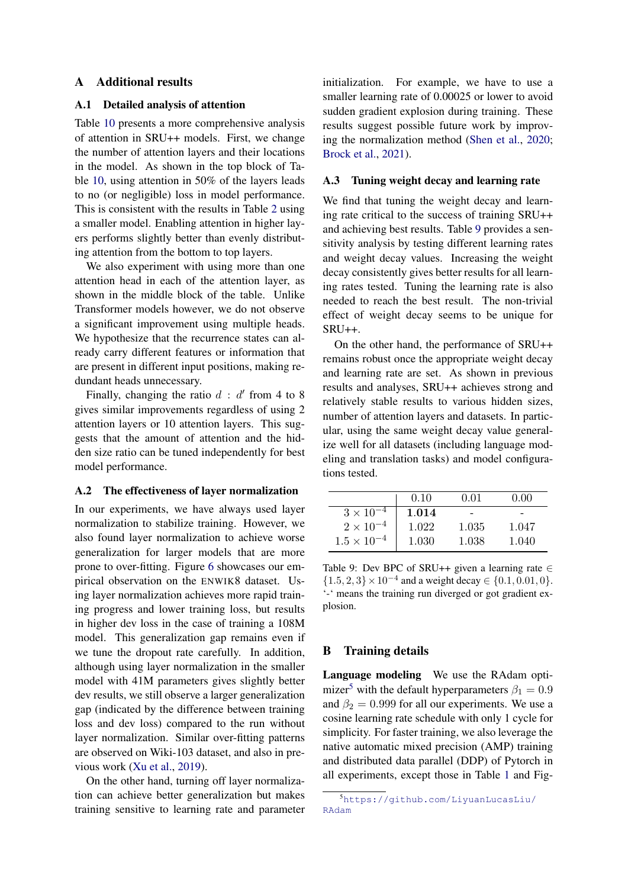#### <span id="page-12-1"></span>A Additional results

### A.1 Detailed analysis of attention

Table [10](#page-14-0) presents a more comprehensive analysis of attention in SRU++ models. First, we change the number of attention layers and their locations in the model. As shown in the top block of Table [10,](#page-14-0) using attention in 50% of the layers leads to no (or negligible) loss in model performance. This is consistent with the results in Table [2](#page-3-1) using a smaller model. Enabling attention in higher layers performs slightly better than evenly distributing attention from the bottom to top layers.

We also experiment with using more than one attention head in each of the attention layer, as shown in the middle block of the table. Unlike Transformer models however, we do not observe a significant improvement using multiple heads. We hypothesize that the recurrence states can already carry different features or information that are present in different input positions, making redundant heads unnecessary.

Finally, changing the ratio  $d : d'$  from 4 to 8 gives similar improvements regardless of using 2 attention layers or 10 attention layers. This suggests that the amount of attention and the hidden size ratio can be tuned independently for best model performance.

#### <span id="page-12-0"></span>A.2 The effectiveness of layer normalization

In our experiments, we have always used layer normalization to stabilize training. However, we also found layer normalization to achieve worse generalization for larger models that are more prone to over-fitting. Figure [6](#page-14-1) showcases our empirical observation on the ENWIK8 dataset. Using layer normalization achieves more rapid training progress and lower training loss, but results in higher dev loss in the case of training a 108M model. This generalization gap remains even if we tune the dropout rate carefully. In addition, although using layer normalization in the smaller model with 41M parameters gives slightly better dev results, we still observe a larger generalization gap (indicated by the difference between training loss and dev loss) compared to the run without layer normalization. Similar over-fitting patterns are observed on Wiki-103 dataset, and also in previous work [\(Xu et al.,](#page-11-9) [2019\)](#page-11-9).

On the other hand, turning off layer normalization can achieve better generalization but makes training sensitive to learning rate and parameter initialization. For example, we have to use a smaller learning rate of 0.00025 or lower to avoid sudden gradient explosion during training. These results suggest possible future work by improving the normalization method [\(Shen et al.,](#page-10-23) [2020;](#page-10-23) [Brock et al.,](#page-9-22) [2021\)](#page-9-22).

#### <span id="page-12-2"></span>A.3 Tuning weight decay and learning rate

We find that tuning the weight decay and learning rate critical to the success of training SRU++ and achieving best results. Table [9](#page-12-4) provides a sensitivity analysis by testing different learning rates and weight decay values. Increasing the weight decay consistently gives better results for all learning rates tested. Tuning the learning rate is also needed to reach the best result. The non-trivial effect of weight decay seems to be unique for SRU++.

On the other hand, the performance of SRU++ remains robust once the appropriate weight decay and learning rate are set. As shown in previous results and analyses, SRU++ achieves strong and relatively stable results to various hidden sizes, number of attention layers and datasets. In particular, using the same weight decay value generalize well for all datasets (including language modeling and translation tasks) and model configurations tested.

<span id="page-12-4"></span>

|                      | 0.10  | 0.01  | 0.00  |
|----------------------|-------|-------|-------|
| $3 \times 10^{-4}$   | 1.014 |       |       |
| $2 \times 10^{-4}$   | 1.022 | 1.035 | 1.047 |
| $1.5 \times 10^{-4}$ | 1.030 | 1.038 | 1.040 |

Table 9: Dev BPC of SRU++ given a learning rate  $\in$  $\{1.5, 2, 3\} \times 10^{-4}$  and a weight decay  $\in \{0.1, 0.01, 0\}.$ '-' means the training run diverged or got gradient explosion.

#### <span id="page-12-3"></span>B Training details

Language modeling We use the RAdam opti-mizer<sup>[5](#page-0-1)</sup> with the default hyperparameters  $\beta_1 = 0.9$ and  $\beta_2 = 0.999$  for all our experiments. We use a cosine learning rate schedule with only 1 cycle for simplicity. For faster training, we also leverage the native automatic mixed precision (AMP) training and distributed data parallel (DDP) of Pytorch in all experiments, except those in Table [1](#page-3-0) and Fig-

<sup>5</sup>[https://github.com/LiyuanLucasLiu/](https://github.com/LiyuanLucasLiu/RAdam) [RAdam](https://github.com/LiyuanLucasLiu/RAdam)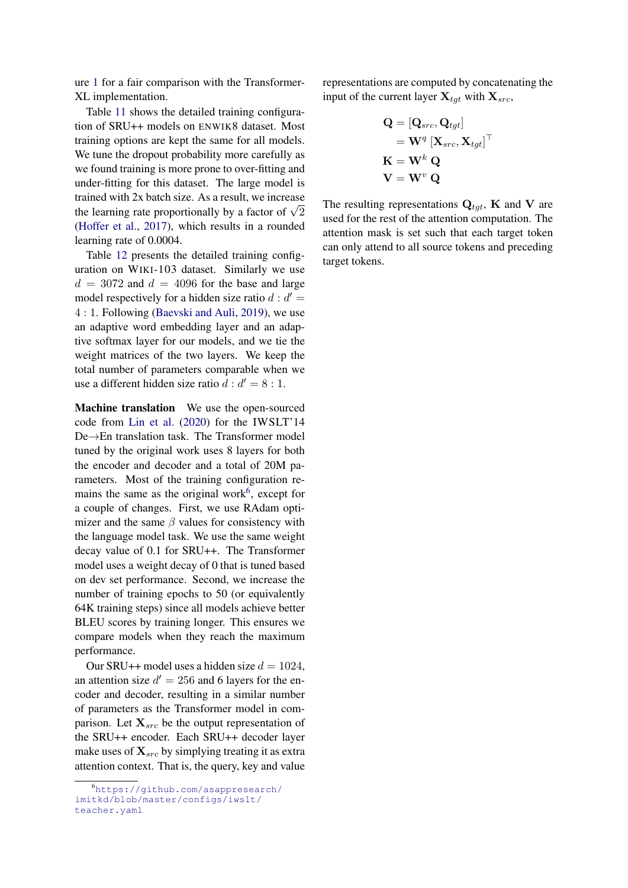ure [1](#page-0-0) for a fair comparison with the Transformer-XL implementation.

Table [11](#page-15-0) shows the detailed training configuration of SRU++ models on ENWIK8 dataset. Most training options are kept the same for all models. We tune the dropout probability more carefully as we found training is more prone to over-fitting and under-fitting for this dataset. The large model is trained with 2x batch size. As a result, we increase trained with 2x batch size. As a result, we increase<br>the learning rate proportionally by a factor of  $\sqrt{2}$ [\(Hoffer et al.,](#page-9-23) [2017\)](#page-9-23), which results in a rounded learning rate of 0.0004.

Table [12](#page-15-0) presents the detailed training configuration on WIKI-103 dataset. Similarly we use  $d = 3072$  and  $d = 4096$  for the base and large model respectively for a hidden size ratio  $d : d' =$ 4 : 1. Following [\(Baevski and Auli,](#page-9-12) [2019\)](#page-9-12), we use an adaptive word embedding layer and an adaptive softmax layer for our models, and we tie the weight matrices of the two layers. We keep the total number of parameters comparable when we use a different hidden size ratio  $d : d' = 8 : 1$ .

Machine translation We use the open-sourced code from [Lin et al.](#page-10-9) [\(2020\)](#page-10-9) for the IWSLT'14 De→En translation task. The Transformer model tuned by the original work uses 8 layers for both the encoder and decoder and a total of 20M parameters. Most of the training configuration re-mains the same as the original work<sup>[6](#page-0-1)</sup>, except for a couple of changes. First, we use RAdam optimizer and the same  $\beta$  values for consistency with the language model task. We use the same weight decay value of 0.1 for SRU++. The Transformer model uses a weight decay of 0 that is tuned based on dev set performance. Second, we increase the number of training epochs to 50 (or equivalently 64K training steps) since all models achieve better BLEU scores by training longer. This ensures we compare models when they reach the maximum performance.

Our SRU++ model uses a hidden size  $d = 1024$ , an attention size  $d' = 256$  and 6 layers for the encoder and decoder, resulting in a similar number of parameters as the Transformer model in comparison. Let  $X_{src}$  be the output representation of the SRU++ encoder. Each SRU++ decoder layer make uses of  $\mathbf{X}_{src}$  by simplying treating it as extra attention context. That is, the query, key and value representations are computed by concatenating the input of the current layer  $\mathbf{X}_{tqt}$  with  $\mathbf{X}_{src}$ ,

$$
\begin{aligned} \mathbf{Q} &= [\mathbf{Q}_{src}, \mathbf{Q}_{tgt}] \\ &= \mathbf{W}^q \left[\mathbf{X}_{src}, \mathbf{X}_{tgt}\right]^\top \\ \mathbf{K} &= \mathbf{W}^k \ \mathbf{Q} \\ \mathbf{V} &= \mathbf{W}^v \ \mathbf{Q} \end{aligned}
$$

The resulting representations  $\mathbf{Q}_{tgt}$ , **K** and **V** are used for the rest of the attention computation. The attention mask is set such that each target token can only attend to all source tokens and preceding target tokens.

<sup>6</sup>[https://github.com/asappresearch/](https://github.com/asappresearch/imitkd/blob/master/configs/iwslt/teacher.yaml) [imitkd/blob/master/configs/iwslt/](https://github.com/asappresearch/imitkd/blob/master/configs/iwslt/teacher.yaml) [teacher.yaml](https://github.com/asappresearch/imitkd/blob/master/configs/iwslt/teacher.yaml)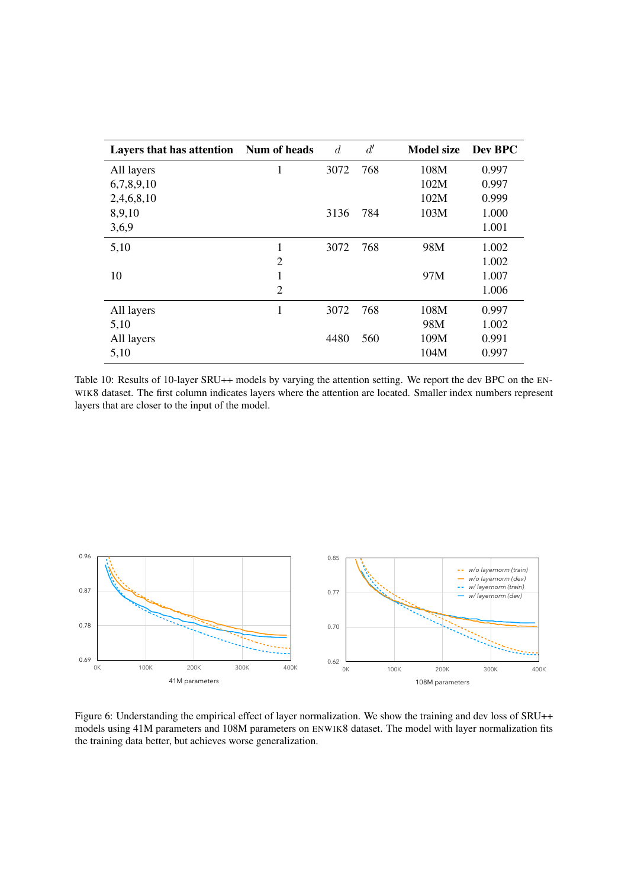<span id="page-14-0"></span>

| Layers that has attention Num of heads |                | $\overline{d}$ | d'  | <b>Model size</b> | Dev BPC |
|----------------------------------------|----------------|----------------|-----|-------------------|---------|
| All layers                             | 1              | 3072           | 768 | 108M              | 0.997   |
| 6,7,8,9,10                             |                |                |     | 102M              | 0.997   |
| 2,4,6,8,10                             |                |                |     | 102M              | 0.999   |
| 8,9,10                                 |                | 3136           | 784 | 103M              | 1.000   |
| 3,6,9                                  |                |                |     |                   | 1.001   |
| 5,10                                   | 1              | 3072           | 768 | 98M               | 1.002   |
|                                        | $\overline{2}$ |                |     |                   | 1.002   |
| 10                                     | 1              |                |     | 97M               | 1.007   |
|                                        | $\overline{2}$ |                |     |                   | 1.006   |
| All layers                             | 1              | 3072           | 768 | 108M              | 0.997   |
| 5,10                                   |                |                |     | 98M               | 1.002   |
| All layers                             |                | 4480           | 560 | 109M              | 0.991   |
| 5,10                                   |                |                |     | 104M              | 0.997   |

Table 10: Results of 10-layer SRU++ models by varying the attention setting. We report the dev BPC on the EN-WIK8 dataset. The first column indicates layers where the attention are located. Smaller index numbers represent layers that are closer to the input of the model.

<span id="page-14-1"></span>

Figure 6: Understanding the empirical effect of layer normalization. We show the training and dev loss of SRU++ models using 41M parameters and 108M parameters on ENWIK8 dataset. The model with layer normalization fits the training data better, but achieves worse generalization.